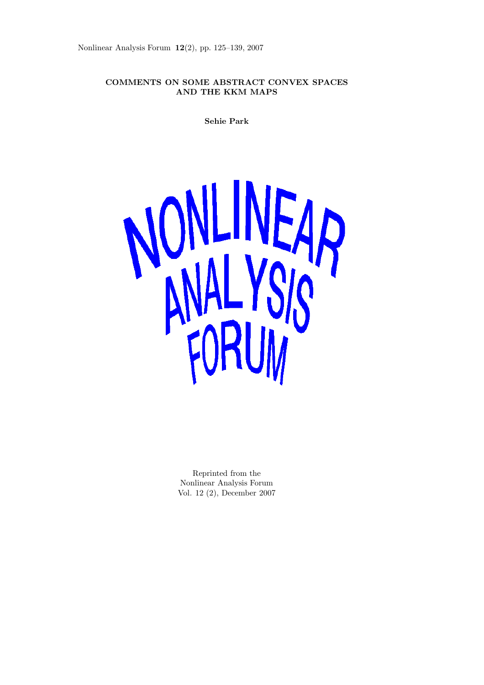# **COMMENTS ON SOME ABSTRACT CONVEX SPACES AND THE KKM MAPS**

**Sehie Park**



Reprinted from the Nonlinear Analysis Forum Vol. 12 (2), December 2007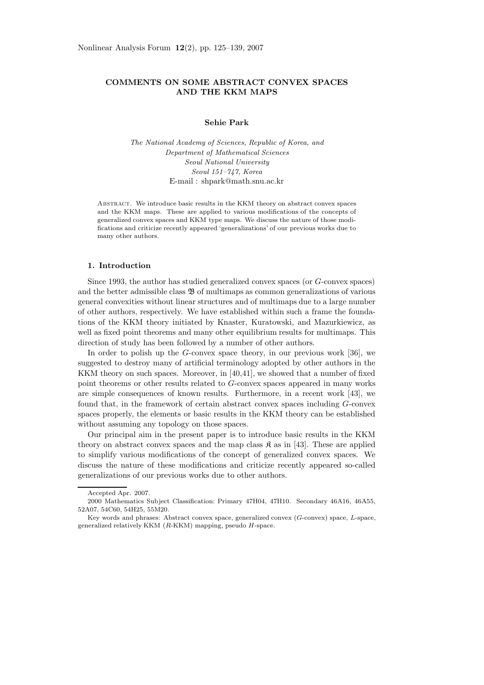# **COMMENTS ON SOME ABSTRACT CONVEX SPACES AND THE KKM MAPS**

### **Sehie Park**

*The National Academy of Sciences, Republic of Korea, and Department of Mathematical Sciences Seoul National University Seoul 151–747, Korea* E-mail : shpark@math.snu.ac.kr

Abstract. We introduce basic results in the KKM theory on abstract convex spaces and the KKM maps. These are applied to various modifications of the concepts of generalized convex spaces and KKM type maps. We discuss the nature of those modifications and criticize recently appeared 'generalizations' of our previous works due to many other authors.

# **1. Introduction**

Since 1993, the author has studied generalized convex spaces (or *G*-convex spaces) and the better admissible class  $\mathfrak{B}$  of multimaps as common generalizations of various general convexities without linear structures and of multimaps due to a large number of other authors, respectively. We have established within such a frame the foundations of the KKM theory initiated by Knaster, Kuratowski, and Mazurkiewicz, as well as fixed point theorems and many other equilibrium results for multimaps. This direction of study has been followed by a number of other authors.

In order to polish up the *G*-convex space theory, in our previous work [36], we suggested to destroy many of artificial terminology adopted by other authors in the KKM theory on such spaces. Moreover, in [40,41], we showed that a number of fixed point theorems or other results related to *G*-convex spaces appeared in many works are simple consequences of known results. Furthermore, in a recent work [43], we found that, in the framework of certain abstract convex spaces including *G*-convex spaces properly, the elements or basic results in the KKM theory can be established without assuming any topology on those spaces.

Our principal aim in the present paper is to introduce basic results in the KKM theory on abstract convex spaces and the map class  $\mathfrak{K}$  as in [43]. These are applied to simplify various modifications of the concept of generalized convex spaces. We discuss the nature of these modifications and criticize recently appeared so-called generalizations of our previous works due to other authors.

Accepted Apr. 2007.

<sup>2000</sup> Mathematics Subject Classification: Primary 47H04, 47H10. Secondary 46A16, 46A55, 52A07, 54C60, 54H25, 55M20.

Key words and phrases: Abstract convex space, generalized convex (G-convex) space, L-space, generalized relatively KKM (R-KKM) mapping, pseudo H-space.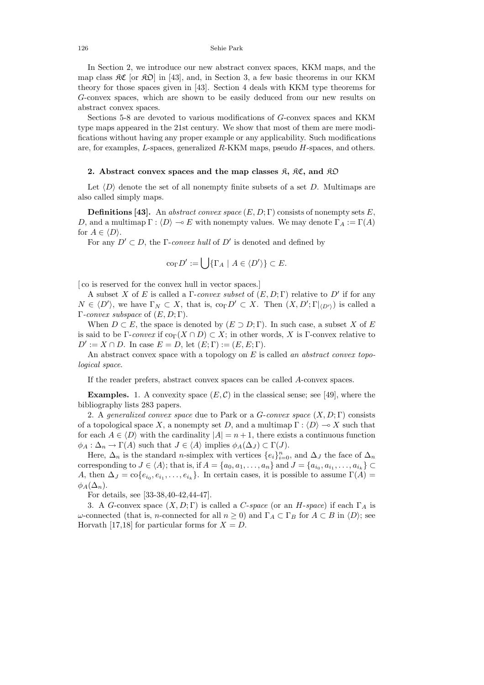In Section 2, we introduce our new abstract convex spaces, KKM maps, and the map class  $\mathfrak{RC}$  [or  $\mathfrak{RD}$ ] in [43], and, in Section 3, a few basic theorems in our KKM theory for those spaces given in [43]. Section 4 deals with KKM type theorems for *G*-convex spaces, which are shown to be easily deduced from our new results on abstract convex spaces.

Sections 5-8 are devoted to various modifications of *G*-convex spaces and KKM type maps appeared in the 21st century. We show that most of them are mere modifications without having any proper example or any applicability. Such modifications are, for examples, *L*-spaces, generalized *R*-KKM maps, pseudo *H*-spaces, and others.

### **2.** Abstract convex spaces and the map classes  $\hat{\mathcal{R}}$ ,  $\hat{\mathcal{R}}\hat{\mathcal{C}}$ , and  $\hat{\mathcal{R}}\hat{\mathcal{D}}$

Let  $\langle D \rangle$  denote the set of all nonempty finite subsets of a set *D*. Multimaps are also called simply maps.

**Definitions [43].** An abstract convex space  $(E, D; \Gamma)$  consists of nonempty sets  $E$ , *D*, and a multimap  $\Gamma : \langle D \rangle \to E$  with nonempty values. We may denote  $\Gamma_A := \Gamma(A)$ for  $A \in \langle D \rangle$ .

For any  $D' \subset D$ , the Γ-convex hull of  $D'$  is denoted and defined by

$$
co_{\Gamma} D' := \bigcup \{ \Gamma_A \mid A \in \langle D' \rangle \} \subset E.
$$

[ co is reserved for the convex hull in vector spaces.]

A subset X of *E* is called a  $\Gamma$ -convex subset of  $(E, D; \Gamma)$  relative to  $D'$  if for any  $N \in \langle D' \rangle$ , we have  $\Gamma_N \subset X$ , that is, co<sub>Γ</sub>*D'*  $\subset X$ . Then  $(X, D'; \Gamma_{\langle D' \rangle})$  is called a Γ-convex subspace of (*E,D*; Γ).

When  $D \subset E$ , the space is denoted by  $(E \supset D; \Gamma)$ . In such case, a subset *X* of *E* is said to be Γ-convex if  $\text{co}_{\Gamma}(X \cap D) \subset X$ ; in other words, X is Γ-convex relative to  $D' := X \cap D$ . In case  $E = D$ , let  $(E; \Gamma) := (E, E; \Gamma)$ .

An abstract convex space with a topology on *E* is called an abstract convex topological space.

If the reader prefers, abstract convex spaces can be called *A*-convex spaces.

**Examples.** 1. A convexity space  $(E, C)$  in the classical sense; see [49], where the bibliography lists 283 papers.

2. A generalized convex space due to Park or a *G*-convex space (*X, D*; Γ) consists of a topological space X, a nonempty set D, and a multimap  $\Gamma : \langle D \rangle \to X$  such that for each  $A \in \langle D \rangle$  with the cardinality  $|A| = n + 1$ , there exists a continuous function  $\phi_A : \Delta_n \to \Gamma(A)$  such that  $J \in \langle A \rangle$  implies  $\phi_A(\Delta_J) \subset \Gamma(J)$ .

Here,  $\Delta_n$  is the standard *n*-simplex with vertices  $\{e_i\}_{i=0}^n$ , and  $\Delta_J$  the face of  $\Delta_n$ corresponding to  $J \in \langle A \rangle$ ; that is, if  $A = \{a_0, a_1, \ldots, a_n\}$  and  $J = \{a_{i_0}, a_{i_1}, \ldots, a_{i_k}\}$ *A*, then  $\Delta_J = \text{co}\{e_{i_0}, e_{i_1}, \ldots, e_{i_k}\}$ . In certain cases, it is possible to assume  $\Gamma(A)$  $\phi_A(\Delta_n)$ .

For details, see [33-38,40-42,44-47].

3. A *G*-convex space  $(X, D; \Gamma)$  is called a *C*-space (or an *H*-space) if each  $\Gamma_A$  is *ω*-connected (that is, *n*-connected for all  $n \geq 0$ ) and  $\Gamma_A \subset \Gamma_B$  for  $A \subset B$  in  $\langle D \rangle$ ; see Horvath [17,18] for particular forms for  $X = D$ .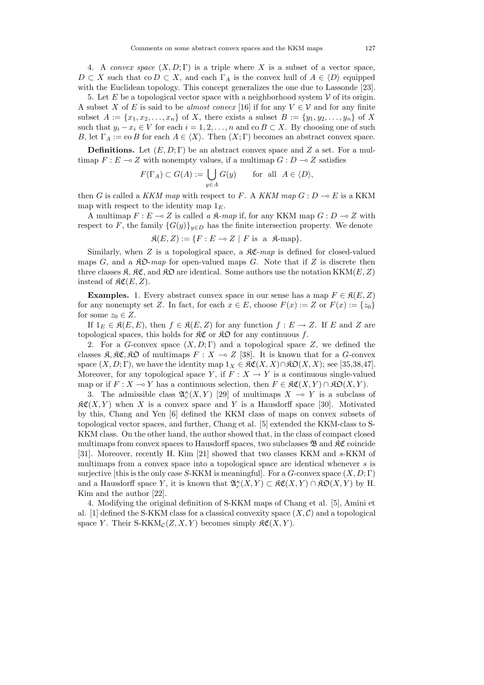4. A convex space  $(X, D; \Gamma)$  is a triple where X is a subset of a vector space,  $D \subset X$  such that  $\text{co } D \subset X$ , and each  $\Gamma_A$  is the convex hull of  $A \in \langle D \rangle$  equipped with the Euclidean topology. This concept generalizes the one due to Lassonde [23].

5. Let  $E$  be a topological vector space with a neighborhood system  $V$  of its origin. A subset X of *E* is said to be almost convex [16] if for any  $V \in V$  and for any finite subset  $A := \{x_1, x_2, ..., x_n\}$  of *X*, there exists a subset  $B := \{y_1, y_2, ..., y_n\}$  of *X* such that  $y_i - x_i \in V$  for each  $i = 1, 2, ..., n$  and co  $B \subset X$ . By choosing one of such *B*, let  $\Gamma_A := \text{co } B$  for each  $A \in \langle X \rangle$ . Then  $(X; \Gamma)$  becomes an abstract convex space.

**Definitions.** Let  $(E, D; \Gamma)$  be an abstract convex space and Z a set. For a multimap  $F: E \to Z$  with nonempty values, if a multimap  $G: D \to Z$  satisfies

$$
F(\Gamma_A) \subset G(A) := \bigcup_{y \in A} G(y) \quad \text{for all } A \in \langle D \rangle,
$$

then *G* is called a KKM map with respect to *F*. A KKM map  $G: D \to E$  is a KKM map with respect to the identity map 1*E*.

A multimap  $F: E \to Z$  is called a  $\mathfrak{K}\text{-}map$  if, for any KKM map  $G: D \to Z$  with respect to *F*, the family  ${G(y)}_{y \in D}$  has the finite intersection property. We denote

$$
\mathfrak{K}(E, Z) := \{ F : E \multimap Z \mid F \text{ is a } \mathfrak{K}\text{-map} \}.
$$

Similarly, when  $Z$  is a topological space, a  $\Re\mathfrak{C}$ -map is defined for closed-valued maps  $G$ , and a  $\mathcal{R}D$ -map for open-valued maps  $G$ . Note that if  $Z$  is discrete then three classes  $\mathfrak{K}, \mathfrak{K}\mathfrak{C}$ , and  $\mathfrak{K}\mathfrak{D}$  are identical. Some authors use the notation KKM( $E, Z$ ) instead of  $\mathfrak{RC}(E,Z)$ .

**Examples.** 1. Every abstract convex space in our sense has a map  $F \in \mathcal{R}(E, Z)$ for any nonempty set *Z*. In fact, for each  $x \in E$ , choose  $F(x) := Z$  or  $F(x) := \{z_0\}$ for some  $z_0 \in Z$ .

If  $1_F \in \mathfrak{K}(E, E)$ , then  $f \in \mathfrak{K}(E, Z)$  for any function  $f : E \to Z$ . If E and Z are topological spaces, this holds for  $\mathcal{RC}$  or  $\mathcal{RD}$  for any continuous f.

2. For a *G*-convex space (*X, D*; Γ) and a topological space *Z*, we defined the classes  $\mathfrak{K}, \mathfrak{K} \mathfrak{C}, \mathfrak{K} \mathfrak{O}$  of multimaps  $F : X \to Z$  [38]. It is known that for a *G*-convex space  $(X, D; \Gamma)$ , we have the identity map  $1_X \in \mathcal{RC}(X, X) \cap \mathcal{RO}(X, X)$ ; see [35,38,47]. Moreover, for any topological space *Y*, if  $F : X \to Y$  is a continuous single-valued map or if  $F: X \to Y$  has a continuous selection, then  $F \in \mathfrak{RC}(X,Y) \cap \mathfrak{RO}(X,Y)$ .

3. The admissible class  $\mathfrak{A}_{c}^{\kappa}(X, Y)$  [29] of multimaps  $X \multimap Y$  is a subclass of  $R\mathfrak{C}(X, Y)$  when X is a convex space and Y is a Hausdorff space [30]. Motivated by this, Chang and Yen [6] defined the KKM class of maps on convex subsets of topological vector spaces, and further, Chang et al. [5] extended the KKM-class to S-KKM class. On the other hand, the author showed that, in the class of compact closed multimaps from convex spaces to Hausdorff spaces, two subclasses  $\mathfrak{B}$  and  $\mathfrak{K}$  coincide [31]. Moreover, recently H. Kim [21] showed that two classes KKM and *s*-KKM of multimaps from a convex space into a topological space are identical whenever *s* is surjective [this is the only case *S*-KKM is meaningful]. For a *G*-convex space (*X, D*; Γ) and a Hausdorff space *Y*, it is known that  $\mathfrak{A}_{c}^{\kappa}(X, Y) \subset \mathfrak{K}\mathfrak{C}(X, Y) \cap \mathfrak{K}\mathfrak{O}(X, Y)$  by H. Kim and the author [22].

4. Modifying the original definition of S-KKM maps of Chang et al. [5], Amini et al. [1] defined the S-KKM class for a classical convexity space  $(X, \mathcal{C})$  and a topological space *Y*. Their S-KKM<sub>C</sub> $(Z, X, Y)$  becomes simply  $\mathfrak{RC}(X, Y)$ .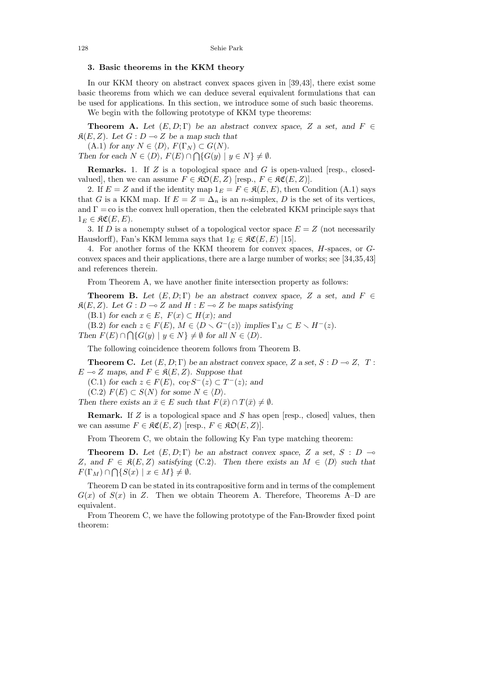#### **3. Basic theorems in the KKM theory**

In our KKM theory on abstract convex spaces given in [39,43], there exist some basic theorems from which we can deduce several equivalent formulations that can be used for applications. In this section, we introduce some of such basic theorems.

We begin with the following prototype of KKM type theorems:

**Theorem A.** *Let*  $(E, D; \Gamma)$  *be an abstract convex space, Z a set, and*  $F \in$  $\mathfrak{K}(E, Z)$ *.* Let  $G: D \longrightarrow Z$  be a map such that

 $(A.1)$  *for any*  $N \in \langle D \rangle$ ,  $F(\Gamma_N) \subset G(N)$ .

*Then for each*  $N \in \langle D \rangle$ ,  $F(E) \cap \bigcap \{ G(y) \mid y \in N \} \neq \emptyset$ .

**Remarks.** 1. If *Z* is a topological space and *G* is open-valued [resp., closedvalued], then we can assume  $F \in \mathfrak{RO}(E, Z)$  [resp.,  $F \in \mathfrak{RC}(E, Z)$ ].

2. If  $E = Z$  and if the identity map  $1_E = F \in \mathcal{R}(E, E)$ , then Condition (A.1) says that *G* is a KKM map. If  $E = Z = \Delta_n$  is an *n*-simplex, *D* is the set of its vertices, and  $\Gamma = \infty$  is the convex hull operation, then the celebrated KKM principle says that  $1_E \in \mathfrak{RC}(E,E).$ 

3. If *D* is a nonempty subset of a topological vector space  $E = Z$  (not necessarily Hausdorff), Fan's KKM lemma says that  $1_E \in \mathfrak{RC}(E, E)$  [15].

4. For another forms of the KKM theorem for convex spaces, *H*-spaces, or *G*convex spaces and their applications, there are a large number of works; see [34,35,43] and references therein.

From Theorem A, we have another finite intersection property as follows:

**Theorem B.** Let  $(E, D; \Gamma)$  be an abstract convex space, Z a set, and  $F \in$  $\mathfrak{K}(E, Z)$ *.* Let  $G: D \to Z$  and  $H: E \to Z$  be maps satisfying

(B.1) *for each*  $x \in E$ ,  $F(x) \subset H(x)$ *; and* 

(B.2) *for each*  $z \in F(E)$ *,*  $M \in \langle D \setminus G^{-}(z) \rangle$  *implies*  $\Gamma_M \subset E \setminus H^{-}(z)$ *. Then*  $F(E) \cap \bigcap \{G(y) \mid y \in N\} \neq \emptyset$  for all  $N \in \langle D \rangle$ .

The following coincidence theorem follows from Theorem B.

**Theorem C.** Let  $(E, D; \Gamma)$  be an abstract convex space, Z a set,  $S: D \to Z$ , T:  $E \multimap Z$  *maps, and*  $F \in \mathfrak{K}(E, Z)$ *. Suppose that* 

(C.1) *for each*  $z \in F(E)$ ,  $\operatorname{co}_{\Gamma} S^{-}(z) \subset T^{-}(z)$ *; and* 

 $(C.2)$   $F(E) \subset S(N)$  for some  $N \in \langle D \rangle$ .

*Then there exists an*  $\bar{x} \in E$  *such that*  $F(\bar{x}) \cap T(\bar{x}) \neq \emptyset$ *.* 

**Remark.** If *Z* is a topological space and *S* has open [resp., closed] values, then we can assume  $F \in \mathfrak{RC}(E, Z)$  [resp.,  $F \in \mathfrak{RO}(E, Z)$ ].

From Theorem C, we obtain the following Ky Fan type matching theorem:

**Theorem D.** Let  $(E, D; \Gamma)$  be an abstract convex space, Z a set, S : D  $\rightarrow$ *Z*, and  $F \in \mathfrak{K}(E, Z)$  *satisfying* (C.2)*.* Then there exists an  $M \in \langle D \rangle$  *such that*  $F(\Gamma_M) \cap \bigcap \{S(x) \mid x \in M\} \neq \emptyset$ .

Theorem D can be stated in its contrapositive form and in terms of the complement  $G(x)$  of  $S(x)$  in Z. Then we obtain Theorem A. Therefore, Theorems A–D are equivalent.

From Theorem C, we have the following prototype of the Fan-Browder fixed point theorem: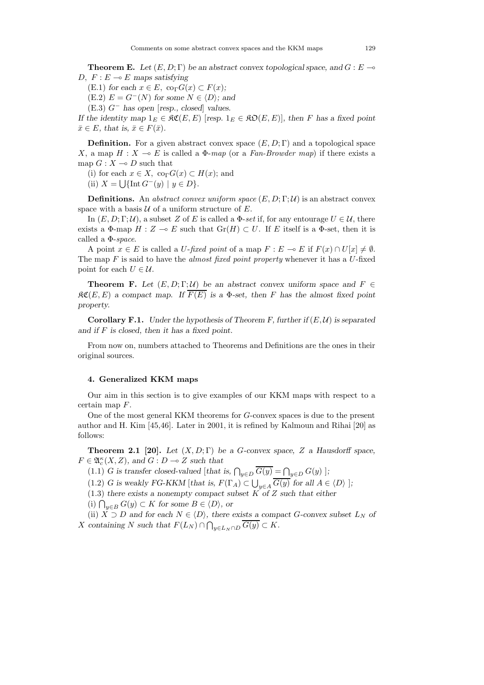**Theorem E.** Let  $(E, D; \Gamma)$  be an abstract convex topological space, and  $G: E \to$ *D,*  $F: E \to E$  maps satisfying

 $(E.1)$  *for each*  $x \in E$ ,  $co<sub>\Gamma</sub>G(x) \subset F(x)$ ;

 $(E.2) E = G^{-1}(N)$  for some  $N \in \langle D \rangle$ ; and

(E.3) *G*<sup>−</sup> *has open* [*resp., closed*] *values.*

*If the identity map*  $1_E \in \mathfrak{RC}(E, E)$  [*resp.*  $1_E \in \mathfrak{RO}(E, E)$ ]*, then F has a fixed point*  $\bar{x} \in E$ *, that is,*  $\bar{x} \in F(\bar{x})$ *.* 

**Definition.** For a given abstract convex space  $(E, D; \Gamma)$  and a topological space *X*, a map  $H: X \to E$  is called a  $\Phi$ -map (or a Fan-Browder map) if there exists a map  $G: X \to D$  such that

(i) for each  $x \in X$ , co<sub>Γ</sub> $G(x) \subset H(x)$ ; and

(ii)  $X = \bigcup \{ \text{Int } G^-(y) \mid y \in D \}.$ 

**Definitions.** An abstract convex uniform space  $(E, D; \Gamma; \mathcal{U})$  is an abstract convex space with a basis  $U$  of a uniform structure of  $E$ .

In  $(E, D; \Gamma; \mathcal{U})$ , a subset  $Z$  of  $E$  is called a  $\Phi\text{-}set$  if, for any entourage  $U \in \mathcal{U}$ , there exists a  $\Phi$ -map *H* :  $Z \to E$  such that  $Gr(H) \subset U$ . If *E* itself is a  $\Phi$ -set, then it is called a  $\Phi$ -space.

A point  $x \in E$  is called a *U*-fixed point of a map  $F : E \to E$  if  $F(x) \cap U[x] \neq \emptyset$ . The map *F* is said to have the almost fixed point property whenever it has a *U*-fixed point for each  $U \in \mathcal{U}$ .

**Theorem F.** *Let*  $(E, D; \Gamma; \mathcal{U})$  *be an abstract convex uniform space and*  $F \in$  $R\mathfrak{C}(E,E)$  *a compact map.* If  $\overline{F(E)}$  is a  $\Phi$ -set, then F has the almost fixed point *property.*

**Corollary F.1.** *Under the hypothesis of Theorem F, further if*  $(E, \mathcal{U})$  *is separated and if F is closed, then it has a fixed point.*

From now on, numbers attached to Theorems and Definitions are the ones in their original sources.

### **4. Generalized KKM maps**

Our aim in this section is to give examples of our KKM maps with respect to a certain map *F*.

One of the most general KKM theorems for *G*-convex spaces is due to the present author and H. Kim [45,46]. Later in 2001, it is refined by Kalmoun and Rihai [20] as follows:

**Theorem 2.1 [20].** *Let* (*X, D*; Γ) *be a G-convex space, Z a Hausdorff space,*  $F \in \mathfrak{A}_{c}^{\kappa}(X, Z)$ , and  $G: D \to Z$  such that

 $(1.1)$  *G* is transfer closed-valued [that is,  $\bigcap_{y \in D} \overline{G(y)} = \bigcap_{y \in D} G(y)$ ];

 $(1.2)$  *G* is weakly FG-KKM [*that is,*  $F(\Gamma_A) \subset \bigcup_{y \in A} \overline{G(y)}$  *for all*  $A \in \langle D \rangle$  ];

 $(1.3)$  *there exists a nonempty compact subset*  $\tilde{K}$  *of*  $\tilde{Z}$  *such that either* 

 $($ i)  $\bigcap_{y \in B} G(y) \subset K$  *for some B* ∈  $\langle D \rangle$ *, or* 

(ii)  $\check{X} \supset D$  and for each  $N \in \langle D \rangle$ , there exists a compact *G*-convex subset  $L_N$  of *X containing N such that*  $F(L_N) \cap \bigcap_{y \in L_N \cap D} \overline{G(y)} \subset K$ *.*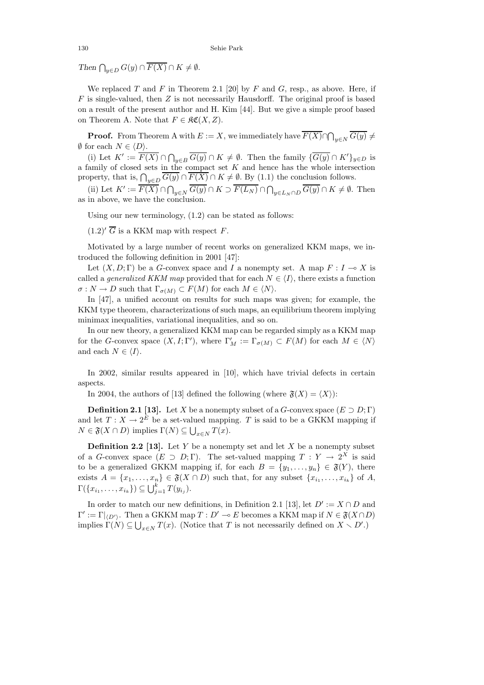*Then*  $\bigcap_{y \in D} G(y) \cap \overline{F(X)} \cap K \neq \emptyset$ .

We replaced *T* and *F* in Theorem 2.1 [20] by *F* and *G*, resp., as above. Here, if *F* is single-valued, then *Z* is not necessarily Hausdorff. The original proof is based on a result of the present author and H. Kim [44]. But we give a simple proof based on Theorem A. Note that  $F \in \mathfrak{RC}(X, Z)$ .

**Proof.** From Theorem A with  $E := X$ , we immediately have  $\overline{F(X)} \cap \bigcap_{y \in N} \overline{G(y)} \neq$  $\emptyset$  for each  $N \in \langle D \rangle$ .

(i) Let  $K' := \overline{F(X)} \cap \bigcap_{y \in B} \overline{G(y)} \cap K \neq \emptyset$ . Then the family  $\{\overline{G(y)} \cap K'\}_{y \in D}$  is a family of closed sets in the compact set *K* and hence has the whole intersection property, that is,  $\bigcap_{y\in D} \overline{G(y)} \cap \overline{F(X)} \cap K \neq \emptyset$ . By (1.1) the conclusion follows.

(ii) Let  $K' := \overline{F(X)} \cap \bigcap_{y \in N} \overline{G(y)} \cap K \supset \overline{F(L_N)} \cap \bigcap_{y \in L_N \cap D} \overline{G(y)} \cap K \neq \emptyset$ . Then as in above, we have the conclusion.

Using our new terminology, (1.2) can be stated as follows:

 $(1.2)$ <sup>'</sup>  $\overline{G}$  is a KKM map with respect *F*.

Motivated by a large number of recent works on generalized KKM maps, we introduced the following definition in 2001 [47]:

Let  $(X, D; \Gamma)$  be a *G*-convex space and *I* a nonempty set. A map  $F: I \to X$  is called a *generalized KKM map* provided that for each  $N \in \langle I \rangle$ , there exists a function  $\sigma: N \to D$  such that  $\Gamma_{\sigma(M)} \subset F(M)$  for each  $M \in \langle N \rangle$ .

In [47], a unified account on results for such maps was given; for example, the KKM type theorem, characterizations of such maps, an equilibrium theorem implying minimax inequalities, variational inequalities, and so on.

In our new theory, a generalized KKM map can be regarded simply as a KKM map for the *G*-convex space  $(X, I; \Gamma')$ , where  $\Gamma'_M := \Gamma_{\sigma(M)} \subset F(M)$  for each  $M \in \langle N \rangle$ and each  $N \in \langle I \rangle$ .

In 2002, similar results appeared in [10], which have trivial defects in certain aspects.

In 2004, the authors of [13] defined the following (where  $\mathfrak{F}(X) = \langle X \rangle$ ):

**Definition 2.1 [13].** Let *X* be a nonempty subset of a *G*-convex space  $(E \supset D; \Gamma)$ and let  $T: X \to 2^E$  be a set-valued mapping. *T* is said to be a GKKM mapping if  $N \in \mathfrak{F}(X \cap D)$  implies  $\Gamma(N) \subseteq \bigcup_{x \in N} \overline{T(x)}$ .

**Definition 2.2 [13].** Let  $Y$  be a nonempty set and let  $X$  be a nonempty subset of a *G*-convex space  $(E \supset D; \Gamma)$ . The set-valued mapping  $T: Y \to 2^X$  is said to be a generalized GKKM mapping if, for each  $B = \{y_1, \ldots, y_n\} \in \mathfrak{F}(Y)$ , there exists  $A = \{x_1, \ldots, x_n\} \in \mathfrak{F}(X \cap D)$  such that, for any subset  $\{x_{i_1}, \ldots, x_{i_k}\}$  of  $A$ ,  $\Gamma(\{x_{i_1}, \ldots, x_{i_k}\}) \subseteq \bigcup_{j=1}^k T(y_{i_j}).$ 

In order to match our new definitions, in Definition 2.1 [13], let  $D' := X \cap D$  and  $\Gamma' := \Gamma|_{\langle D' \rangle}$ . Then a GKKM map  $T : D' \to E$  becomes a KKM map if  $N \in \mathfrak{F}(X \cap D)$ implies  $\Gamma(N) \subseteq \bigcup_{x \in N} T(x)$ . (Notice that *T* is not necessarily defined on  $X \setminus D'$ .)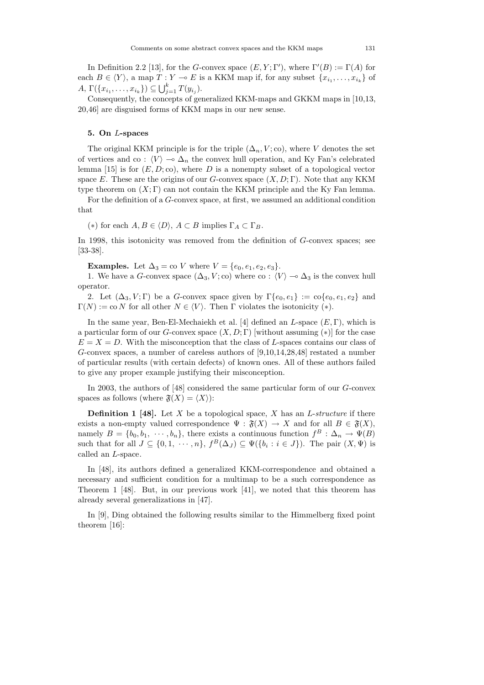In Definition 2.2 [13], for the *G*-convex space  $(E, Y; \Gamma')$ , where  $\Gamma'(B) := \Gamma(A)$  for each  $B \in \langle Y \rangle$ , a map  $T : Y \multimap E$  is a KKM map if, for any subset  $\{x_{i_1}, \ldots, x_{i_k}\}$  of  $A, \Gamma(\{x_{i_1}, \ldots, x_{i_k}\}) \subseteq \bigcup_{j=1}^k T(y_{i_j}).$ 

Consequently, the concepts of generalized KKM-maps and GKKM maps in [10,13, 20,46] are disguised forms of KKM maps in our new sense.

### **5. On** *L***-spaces**

The original KKM principle is for the triple  $(\Delta_n, V; \text{co})$ , where *V* denotes the set of vertices and co :  $\langle V \rangle \to \Delta_n$  the convex hull operation, and Ky Fan's celebrated lemma [15] is for  $(E, D; \infty)$ , where  $D$  is a nonempty subset of a topological vector space *E*. These are the origins of our *G*-convex space (*X, D*; Γ). Note that any KKM type theorem on  $(X; \Gamma)$  can not contain the KKM principle and the Ky Fan lemma.

For the definition of a *G*-convex space, at first, we assumed an additional condition that

(\*) for each  $A, B \in \langle D \rangle$ ,  $A \subset B$  implies  $\Gamma_A \subset \Gamma_B$ .

In 1998, this isotonicity was removed from the definition of *G*-convex spaces; see [33-38].

**Examples.** Let  $\Delta_3 = \text{co } V$  where  $V = \{e_0, e_1, e_2, e_3\}.$ 

1. We have a *G*-convex space  $(\Delta_3, V; \text{co})$  where co :  $\langle V \rangle \rightarrow \Delta_3$  is the convex hull operator.

2. Let  $(\Delta_3, V; \Gamma)$  be a *G*-convex space given by  $\Gamma\{e_0, e_1\} := \text{co}\{e_0, e_1, e_2\}$  and  $\Gamma(N) := \text{co } N$  for all other  $N \in \langle V \rangle$ . Then  $\Gamma$  violates the isotonicity (\*).

In the same year, Ben-El-Mechaiekh et al. [4] defined an *L*-space (*E,* Γ), which is a particular form of our *G*-convex space  $(X, D; \Gamma)$  [without assuming (\*)] for the case  $E = X = D$ . With the misconception that the class of *L*-spaces contains our class of *G*-convex spaces, a number of careless authors of [9,10,14,28,48] restated a number of particular results (with certain defects) of known ones. All of these authors failed to give any proper example justifying their misconception.

In 2003, the authors of [48] considered the same particular form of our *G*-convex spaces as follows (where  $\mathfrak{F}(X) = \langle X \rangle$ ):

**Definition 1 [48].** Let *X* be a topological space, *X* has an *L*-structure if there exists a non-empty valued correspondence  $\Psi : \mathfrak{F}(X) \to X$  and for all  $B \in \mathfrak{F}(X)$ , namely  $B = \{b_0, b_1, \dots, b_n\}$ , there exists a continuous function  $f^B : \Delta_n \to \Psi(B)$ such that for all  $J \subseteq \{0,1,\dots,n\}$ ,  $f^B(\Delta_J) \subseteq \Psi(\{b_i : i \in J\})$ . The pair  $(X,\Psi)$  is called an *L*-space.

In [48], its authors defined a generalized KKM-correspondence and obtained a necessary and sufficient condition for a multimap to be a such correspondence as Theorem 1 [48]. But, in our previous work [41], we noted that this theorem has already several generalizations in [47].

In [9], Ding obtained the following results similar to the Himmelberg fixed point theorem [16]: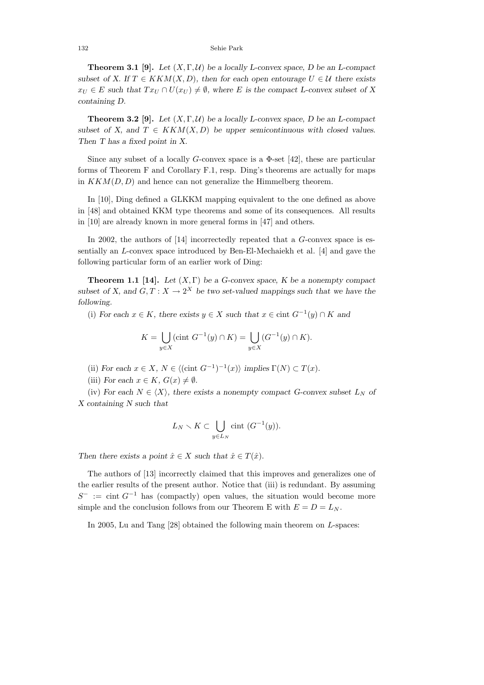132 Sehie Park

**Theorem 3.1 [9].** *Let* (*X,* Γ*,* U) *be a locally L-convex space, D be an L-compact subset of X. If*  $T \in KKM(X, D)$ *, then for each open entourage*  $U \in \mathcal{U}$  there exists  $x_U \in E$  *such that*  $Tx_U \cap U(x_U) \neq \emptyset$ , where *E is the compact L-convex subset of X containing D.*

**Theorem 3.2 [9].** *Let*  $(X, \Gamma, \mathcal{U})$  *be a locally L-convex space, D be an L-compact subset of X, and*  $T \in KKM(X, D)$  *be upper semicontinuous with closed values. Then T has a fixed point in X.*

Since any subset of a locally *G*-convex space is a  $\Phi$ -set [42], these are particular forms of Theorem F and Corollary F.1, resp. Ding's theorems are actually for maps in  $KKM(D, D)$  and hence can not generalize the Himmelberg theorem.

In [10], Ding defined a GLKKM mapping equivalent to the one defined as above in [48] and obtained KKM type theorems and some of its consequences. All results in [10] are already known in more general forms in [47] and others.

In 2002, the authors of [14] incorrectedly repeated that a *G*-convex space is essentially an *L*-convex space introduced by Ben-El-Mechaiekh et al. [4] and gave the following particular form of an earlier work of Ding:

**Theorem 1.1 [14].** *Let*  $(X, \Gamma)$  *be a G-convex space, K be a nonempty compact subset of X, and*  $G, T: X \to 2^X$  *be two set-valued mappings such that we have the following.*

(i) *For each*  $x \in K$ *, there exists*  $y \in X$  *such that*  $x \in \text{cint } G^{-1}(y) \cap K$  *and* 

$$
K = \bigcup_{y \in X} (\text{cint } G^{-1}(y) \cap K) = \bigcup_{y \in X} (G^{-1}(y) \cap K).
$$

(ii) *For each*  $x \in X$ ,  $N \in \langle (\text{cint } G^{-1})^{-1}(x) \rangle$  *implies*  $\Gamma(N) \subset T(x)$ *.* 

(iii) *For each*  $x \in K$ *,*  $G(x) \neq \emptyset$ *.* 

(iv) For each  $N \in \langle X \rangle$ , there exists a nonempty compact G-convex subset  $L_N$  of *X containing N such that*

$$
L_N \setminus K \subset \bigcup_{y \in L_N} \text{cint } (G^{-1}(y)).
$$

*Then there exists a point*  $\hat{x} \in X$  *such that*  $\hat{x} \in T(\hat{x})$ *.* 

The authors of [13] incorrectly claimed that this improves and generalizes one of the earlier results of the present author. Notice that (iii) is redundant. By assuming  $S^-$  := cint  $G^{-1}$  has (compactly) open values, the situation would become more simple and the conclusion follows from our Theorem E with  $E = D = L_N$ .

In 2005, Lu and Tang [28] obtained the following main theorem on *L*-spaces: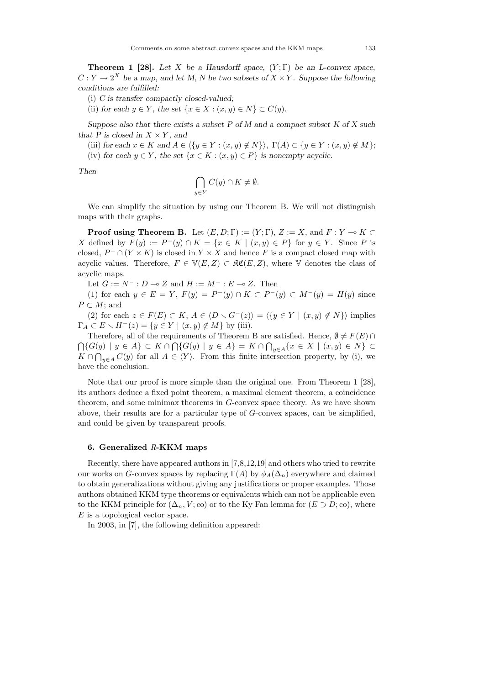**Theorem 1 [28].** *Let X be a Hausdorff space,*  $(Y; \Gamma)$  *be an L-convex space,*  $C: Y \to 2^X$  *be a map, and let M, N be two subsets of*  $X \times Y$ *. Suppose the following conditions are fulfilled:*

- (i) *C is transfer compactly closed-valued;*
- (ii) *for each*  $y \in Y$ *, the set*  $\{x \in X : (x, y) \in N\} \subset C(y)$ *.*

*Suppose also that there exists a subset P of M and a compact subset K of X such that P is closed in*  $X \times Y$ *, and* 

- (iii) *for each*  $x \in K$  *and*  $A \in \langle \{y \in Y : (x, y) \notin N \} \rangle$ ,  $\Gamma(A) \subset \{y \in Y : (x, y) \notin M \}$ ;
- (iv) *for each*  $y \in Y$ *, the set*  $\{x \in K : (x, y) \in P\}$  *is nonempty acyclic.*

*Then*

$$
\bigcap_{y \in Y} C(y) \cap K \neq \emptyset.
$$

We can simplify the situation by using our Theorem B. We will not distinguish maps with their graphs.

**Proof using Theorem B.** Let  $(E, D; \Gamma) := (Y; \Gamma), Z := X$ , and  $F: Y \to K \subset \Gamma$ *X* defined by  $F(y) := P^{-}(y) ∩ K = \{x \in K \mid (x, y) \in P\}$  for  $y \in Y$ . Since *P* is closed,  $P^- \cap (Y \times K)$  is closed in  $Y \times X$  and hence F is a compact closed map with acyclic values. Therefore,  $F \in V(E, Z) \subset \mathfrak{RC}(E, Z)$ , where V denotes the class of acyclic maps.

Let  $G := N^- : D \multimap Z$  and  $H := M^- : E \multimap Z$ . Then

(1) for each  $y \in E = Y$ ,  $F(y) = P^{-1}(y) \cap K \subset P^{-1}(y) \subset M^{-1}(y) = H(y)$  since  $P \subset M$ ; and

(2) for each  $z \in F(E) \subset K$ ,  $A \in \langle D \setminus G^{-}(z) \rangle = \langle \{y \in Y \mid (x, y) \notin N \} \rangle$  implies  $\Gamma_A \subset E \setminus H^-(z) = \{y \in Y \mid (x, y) \notin M\}$  by (iii).

Therefore, all of the requirements of Theorem B are satisfied. Hence,  $\emptyset \neq F(E) \cap$  $\bigcap \{G(y) \mid y \in A\} \subset K \cap \bigcap \{G(y) \mid y \in A\} = K \cap \bigcap_{y \in A} \{x \in X \mid (x, y) \in N\} \subset$  $K \cap \bigcap_{y \in A} C(y)$  for all  $A \in \langle Y \rangle$ . From this finite intersection property, by (i), we have the conclusion.

Note that our proof is more simple than the original one. From Theorem 1 [28], its authors deduce a fixed point theorem, a maximal element theorem, a coincidence theorem, and some minimax theorems in *G*-convex space theory. As we have shown above, their results are for a particular type of *G*-convex spaces, can be simplified, and could be given by transparent proofs.

### **6. Generalized** R**-KKM maps**

Recently, there have appeared authors in [7,8,12,19] and others who tried to rewrite our works on *G*-convex spaces by replacing  $\Gamma(A)$  by  $\phi_A(\Delta_n)$  everywhere and claimed to obtain generalizations without giving any justifications or proper examples. Those authors obtained KKM type theorems or equivalents which can not be applicable even to the KKM principle for  $(\Delta_n, V; \text{co})$  or to the Ky Fan lemma for  $(E \supset D; \text{co})$ , where *E* is a topological vector space.

In 2003, in [7], the following definition appeared: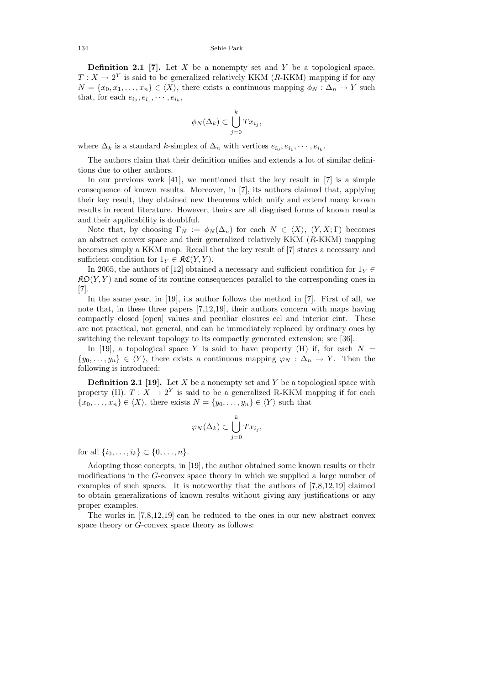**Definition 2.1 [7].** Let *X* be a nonempty set and *Y* be a topological space.  $T: X \to 2^Y$  is said to be generalized relatively KKM (*R*-KKM) mapping if for any  $N = \{x_0, x_1, \ldots, x_n\} \in \langle X \rangle$ , there exists a continuous mapping  $\phi_N : \Delta_n \to Y$  such that, for each  $e_{i_0}, e_{i_1}, \cdots, e_{i_k}$ ,

$$
\phi_N(\Delta_k) \subset \bigcup_{j=0}^k Tx_{i_j},
$$

where  $\Delta_k$  is a standard *k*-simplex of  $\Delta_n$  with vertices  $e_{i_0}, e_{i_1}, \cdots, e_{i_k}$ .

The authors claim that their definition unifies and extends a lot of similar definitions due to other authors.

In our previous work [41], we mentioned that the key result in [7] is a simple consequence of known results. Moreover, in [7], its authors claimed that, applying their key result, they obtained new theorems which unify and extend many known results in recent literature. However, theirs are all disguised forms of known results and their applicability is doubtful.

Note that, by choosing  $\Gamma_N := \phi_N(\Delta_n)$  for each  $N \in \langle X \rangle$ ,  $(Y, X; \Gamma)$  becomes an abstract convex space and their generalized relatively KKM (*R*-KKM) mapping becomes simply a KKM map. Recall that the key result of [7] states a necessary and sufficient condition for  $1_Y \in \mathfrak{RC}(Y, Y)$ .

In 2005, the authors of [12] obtained a necessary and sufficient condition for  $1<sub>Y</sub> \in$  $\mathfrak{K} \mathfrak{O}(Y, Y)$  and some of its routine consequences parallel to the corresponding ones in [7].

In the same year, in [19], its author follows the method in [7]. First of all, we note that, in these three papers [7,12,19], their authors concern with maps having compactly closed [open] values and peculiar closures ccl and interior cint. These are not practical, not general, and can be immediately replaced by ordinary ones by switching the relevant topology to its compactly generated extension; see [36].

In [19], a topological space Y is said to have property  $(H)$  if, for each  $N =$  $\{y_0, \ldots, y_n\} \in \langle Y \rangle$ , there exists a continuous mapping  $\varphi_N : \Delta_n \to Y$ . Then the following is introduced:

**Definition 2.1 [19].** Let *X* be a nonempty set and *Y* be a topological space with property (H).  $T : X \to 2^Y$  is said to be a generalized R-KKM mapping if for each  ${x_0, \ldots, x_n} \in \langle X \rangle$ , there exists  $N = {y_0, \ldots, y_n} \in \langle Y \rangle$  such that

$$
\varphi_N(\Delta_k) \subset \bigcup_{j=0}^k Tx_{i_j},
$$

for all  $\{i_0, \ldots, i_k\} \subset \{0, \ldots, n\}.$ 

Adopting those concepts, in [19], the author obtained some known results or their modifications in the *G*-convex space theory in which we supplied a large number of examples of such spaces. It is noteworthy that the authors of [7,8,12,19] claimed to obtain generalizations of known results without giving any justifications or any proper examples.

The works in [7,8,12,19] can be reduced to the ones in our new abstract convex space theory or *G*-convex space theory as follows: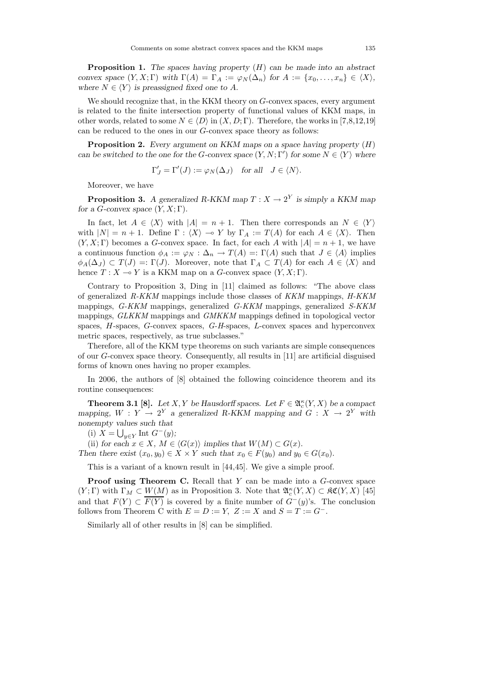**Proposition 1.** *The spaces having property* (*H*) *can be made into an abstract convex space*  $(Y, X; \Gamma)$  *with*  $\Gamma(A) = \Gamma_A := \varphi_N(\Delta_n)$  *for*  $A := \{x_0, \ldots, x_n\} \in \langle X \rangle$ , *where*  $N \in \langle Y \rangle$  *is preassigned fixed one to A.* 

We should recognize that, in the KKM theory on *G*-convex spaces, every argument is related to the finite intersection property of functional values of KKM maps, in other words, related to some  $N \in \langle D \rangle$  in  $(X, D; \Gamma)$ . Therefore, the works in [7,8,12,19] can be reduced to the ones in our *G*-convex space theory as follows:

**Proposition 2.** *Every argument on KKM maps on a space having property* (*H*) *can be switched to the one for the <i>G*-convex space  $(Y, N; \Gamma')$  for some  $N \in \langle Y \rangle$  where

$$
\Gamma'_J = \Gamma'(J) := \varphi_N(\Delta_J) \quad \text{for all} \quad J \in \langle N \rangle.
$$

Moreover, we have

**Proposition 3.** *A generalized R-KKM map*  $T: X \to 2^Y$  *is simply a KKM map for a G*-convex space  $(Y, X; \Gamma)$ *.* 

In fact, let  $A \in \langle X \rangle$  with  $|A| = n + 1$ . Then there corresponds an  $N \in \langle Y \rangle$ with  $|N| = n + 1$ . Define  $\Gamma : \langle X \rangle \to Y$  by  $\Gamma_A := T(A)$  for each  $A \in \langle X \rangle$ . Then  $(Y, X; \Gamma)$  becomes a *G*-convex space. In fact, for each *A* with  $|A| = n + 1$ , we have a continuous function  $\phi_A := \phi_N : \Delta_n \to T(A) =: \Gamma(A)$  such that  $J \in \langle A \rangle$  implies  $\phi_A(\Delta_J) \subset T(J) =: \Gamma(J)$ . Moreover, note that  $\Gamma_A \subset T(A)$  for each  $A \in \langle X \rangle$  and hence  $T: X \to Y$  is a KKM map on a *G*-convex space  $(Y, X; \Gamma)$ .

Contrary to Proposition 3, Ding in [11] claimed as follows: "The above class of generalized  $R-KKM$  mappings include those classes of KKM mappings,  $H-KKM$ mappings, G-KKM mappings, generalized G-KKM mappings, generalized S-KKM mappings, GLKKM mappings and GMKKM mappings defined in topological vector spaces, *H*-spaces, *G*-convex spaces, G-H-spaces, *L*-convex spaces and hyperconvex metric spaces, respectively, as true subclasses."

Therefore, all of the KKM type theorems on such variants are simple consequences of our *G*-convex space theory. Consequently, all results in [11] are artificial disguised forms of known ones having no proper examples.

In 2006, the authors of [8] obtained the following coincidence theorem and its routine consequences:

**Theorem 3.1 [8].** *Let X*, *Y be Hausdorff spaces. Let*  $F \in \mathfrak{A}_{c}^{\kappa}(Y, X)$  *be a compact mapping,*  $W: Y \rightarrow 2^Y$  *a generalized R-KKM mapping and*  $G: X \rightarrow 2^Y$  *with nonempty values such that*

(i)  $\overline{X} = \bigcup_{y \in Y} \text{Int } G^-(y);$ 

(ii) *for each*  $x \in X$ *,*  $M \in \langle G(x) \rangle$  *implies that*  $W(M) \subset G(x)$ *.* 

*Then there exist*  $(x_0, y_0) \in X \times Y$  *such that*  $x_0 \in F(y_0)$  *and*  $y_0 \in G(x_0)$ *.* 

This is a variant of a known result in [44,45]. We give a simple proof.

**Proof using Theorem C.** Recall that *Y* can be made into a *G*-convex space  $(Y; \Gamma)$  with  $\Gamma_M \subset W(M)$  as in Proposition 3. Note that  $\mathfrak{A}_{c}^{\kappa}(Y,X) \subset \mathfrak{K}\mathfrak{C}(Y,X)$  [45] and that  $F(Y) \subset \overline{F(Y)}$  is covered by a finite number of  $G^-(y)$ 's. The conclusion follows from Theorem C with  $E = D := Y$ ,  $Z := X$  and  $S = T := G^{-}$ .

Similarly all of other results in [8] can be simplified.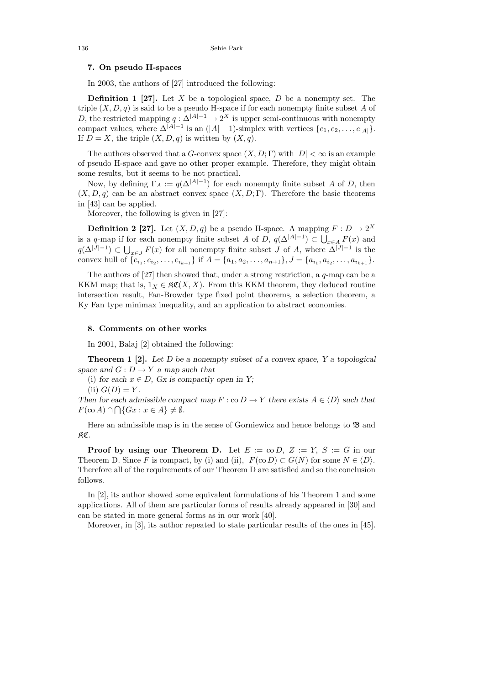#### **7. On pseudo H-spaces**

In 2003, the authors of [27] introduced the following:

**Definition 1 [27].** Let *X* be a topological space, *D* be a nonempty set. The triple  $(X, D, q)$  is said to be a pseudo H-space if for each nonempty finite subset A of *D*, the restricted mapping  $q: \Delta^{|A|-1} \to 2^X$  is upper semi-continuous with nonempty compact values, where  $\Delta^{|A|-1}$  is an  $(|A|-1)$ -simplex with vertices  $\{e_1, e_2, \ldots, e_{|A|}\}.$ If  $D = X$ , the triple  $(X, D, q)$  is written by  $(X, q)$ .

The authors observed that a *G*-convex space  $(X, D; \Gamma)$  with  $|D| < \infty$  is an example of pseudo H-space and gave no other proper example. Therefore, they might obtain some results, but it seems to be not practical.

Now, by defining  $\Gamma_A := q(\Delta^{|A|-1})$  for each nonempty finite subset *A* of *D*, then  $(X, D, q)$  can be an abstract convex space  $(X, D; \Gamma)$ . Therefore the basic theorems in [43] can be applied.

Moreover, the following is given in [27]:

**Definition 2 [27].** Let  $(X, D, q)$  be a pseudo H-space. A mapping  $F: D \to 2^X$ is a *q*-map if for each nonempty finite subset *A* of *D*,  $q(\Delta^{|A|-1}) \subset \bigcup_{x \in A} F(x)$  and  $q(\Delta^{|J|-1}) \subset \bigcup_{x \in J} F(x)$  for all nonempty finite subset *J* of *A*, where  $\Delta^{|J|-1}$  is the convex hull of  $\{e_{i_1}, e_{i_2}, \ldots, e_{i_{k+1}}\}$  if  $A = \{a_1, a_2, \ldots, a_{n+1}\}, J = \{a_{i_1}, a_{i_2}, \ldots, a_{i_{k+1}}\}.$ 

The authors of [27] then showed that, under a strong restriction, a *q*-map can be a KKM map; that is,  $1_X \in \mathcal{RC}(X,X)$ . From this KKM theorem, they deduced routine intersection result, Fan-Browder type fixed point theorems, a selection theorem, a Ky Fan type minimax inequality, and an application to abstract economies.

#### **8. Comments on other works**

In 2001, Balaj [2] obtained the following:

**Theorem 1 [2].** *Let D be a nonempty subset of a convex space, Y a topological space and*  $G: D \to Y$  *a map such that* 

(i) for each  $x \in D$ ,  $Gx$  is compactly open in Y;

 $(i)$   $G(D) = Y$ .

*Then for each admissible compact map*  $F : \text{co } D \to Y$  *there exists*  $A \in \langle D \rangle$  *such that*  $F(\text{co }A) \cap \bigcap \{Gx : x \in A\} \neq \emptyset$ .

Here an admissible map is in the sense of Gorniewicz and hence belongs to  $\mathfrak{B}$  and KC.

**Proof by using our Theorem D.** Let  $E := \text{co } D$ ,  $Z := Y$ ,  $S := G$  in our Theorem D. Since *F* is compact, by (i) and (ii),  $F(\text{co } D) \subset G(N)$  for some  $N \in \langle D \rangle$ . Therefore all of the requirements of our Theorem D are satisfied and so the conclusion follows.

In [2], its author showed some equivalent formulations of his Theorem 1 and some applications. All of them are particular forms of results already appeared in [30] and can be stated in more general forms as in our work [40].

Moreover, in [3], its author repeated to state particular results of the ones in [45].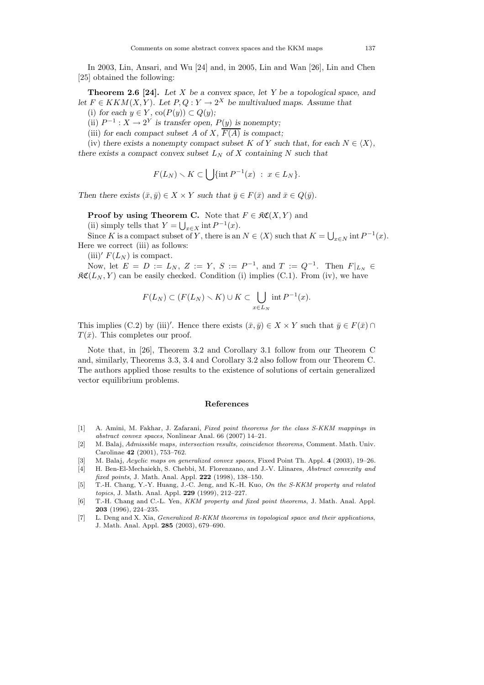In 2003, Lin, Ansari, and Wu [24] and, in 2005, Lin and Wan [26], Lin and Chen [25] obtained the following:

**Theorem 2.6 [24].** *Let X be a convex space, let Y be a topological space, and let*  $F \in KKM(X,Y)$ *. Let*  $P,Q:Y \to 2^X$  *be multivalued maps. Assume that* 

(i) *for each*  $y \in Y$ ,  $co(P(y)) \subset Q(y)$ ;

(ii)  $P^{-1}: X \to 2^Y$  *is transfer open,*  $P(y)$  *is nonempty*;

(iii) *for each compact subset A of X*,  $\overline{F(A)}$  *is compact*;

(iv) there exists a nonempty compact subset K of Y such that, for each  $N \in \langle X \rangle$ , *there exists a compact convex subset L<sup>N</sup> of X containing N such that*

$$
F(L_N) \setminus K \subset \bigcup \{\text{int } P^{-1}(x) : x \in L_N\}.
$$

*Then there exists*  $(\bar{x}, \bar{y}) \in X \times Y$  *such that*  $\bar{y} \in F(\bar{x})$  *and*  $\bar{x} \in Q(\bar{y})$ *.* 

**Proof by using Theorem C.** Note that  $F \in \mathcal{RC}(X, Y)$  and

(ii) simply tells that  $Y = \bigcup_{x \in X} \text{int } P^{-1}(x)$ .

Since *K* is a compact subset of *Y*, there is an  $N \in \langle X \rangle$  such that  $K = \bigcup_{x \in N} \text{int } P^{-1}(x)$ . Here we correct (iii) as follows:

(iii)<sup> $\prime$ </sup>  $F(L_N)$  is compact.

Now, let  $E = D := L_N$ ,  $Z := Y$ ,  $S := P^{-1}$ , and  $T := Q^{-1}$ . Then  $F|_{L_N} \in$  $\mathfrak{RC}(L_N, Y)$  can be easily checked. Condition (i) implies (C.1). From (iv), we have

$$
F(L_N) \subset (F(L_N) \setminus K) \cup K \subset \bigcup_{x \in L_N} \operatorname{int} P^{-1}(x).
$$

This implies (C.2) by (iii)'. Hence there exists  $(\bar{x}, \bar{y}) \in X \times Y$  such that  $\bar{y} \in F(\bar{x})$  $T(\bar{x})$ . This completes our proof.

Note that, in [26], Theorem 3.2 and Corollary 3.1 follow from our Theorem C and, similarly, Theorems 3.3, 3.4 and Corollary 3.2 also follow from our Theorem C. The authors applied those results to the existence of solutions of certain generalized vector equilibrium problems.

# **References**

- [1] A. Amini, M. Fakhar, J. Zafarani, *Fixed point theorems for the class S-KKM mappings in abstract convex spaces*, Nonlinear Anal. 66 (2007) 14–21.
- [2] M. Balaj, *Admissible maps, intersection results, coincidence theorems*, Comment. Math. Univ. Carolinae **42** (2001), 753–762.
- [3] M. Balaj, *Acyclic maps on generalized convex spaces*, Fixed Point Th. Appl. **4** (2003), 19–26.
- [4] H. Ben-El-Mechaiekh, S. Chebbi, M. Florenzano, and J.-V. Llinares, *Abstract convexity and fixed points*, J. Math. Anal. Appl. **222** (1998), 138–150.
- [5] T.-H. Chang, Y.-Y. Huang, J.-C. Jeng, and K.-H. Kuo, *On the S-KKM property and related topics*, J. Math. Anal. Appl. **229** (1999), 212–227.
- [6] T.-H. Chang and C.-L. Yen, *KKM property and fixed point theorems*, J. Math. Anal. Appl. **203** (1996), 224–235.
- [7] L. Deng and X. Xia, *Generalized R-KKM theorems in topological space and their applications*, J. Math. Anal. Appl. **285** (2003), 679–690.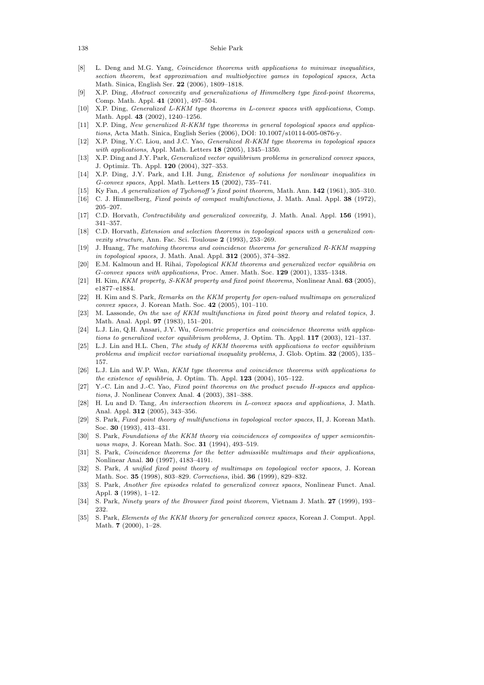#### 138 Sehie Park

- [8] L. Deng and M.G. Yang, *Coincidence theorems with applications to minimax inequalities, section theorem, best approximation and multiobjective games in topological spaces*, Acta Math. Sinica, English Ser. **22** (2006), 1809–1818.
- [9] X.P. Ding, *Abstract convexity and generalizations of Himmelberg type fixed-point theorems*, Comp. Math. Appl. **41** (2001), 497–504.
- [10] X.P. Ding, *Generalized L-KKM type theorems in L-convex spaces with applications*, Comp. Math. Appl. **43** (2002), 1240–1256.
- [11] X.P. Ding, *New generalized R-KKM type theorems in general topological spaces and applications*, Acta Math. Sinica, English Series (2006), DOI: 10.1007/s10114-005-0876-y.
- [12] X.P. Ding, Y.C. Liou, and J.C. Yao, *Generalized R-KKM type theorems in topological spaces with applications*, Appl. Math. Letters **18** (2005), 1345–1350.
- [13] X.P. Ding and J.Y. Park, *Generalized vector equilibrium problems in generalized convex spaces*, J. Optimiz. Th. Appl. **120** (2004), 327–353.
- [14] X.P. Ding, J.Y. Park, and I.H. Jung, *Existence of solutions for nonlinear inequalities in G-convex spaces*, Appl. Math. Letters **15** (2002), 735–741.
- [15] Ky Fan, *A generalization of Tychonoff 's fixed point theorem*, Math. Ann. **142** (1961), 305–310.
- [16] C. J. Himmelberg, *Fixed points of compact multifunctions*, J. Math. Anal. Appl. **38** (1972), 205–207.
- [17] C.D. Horvath, *Contractibility and generalized convexity*, J. Math. Anal. Appl. **156** (1991), 341–357.
- [18] C.D. Horvath, *Extension and selection theorems in topological spaces with a generalized convexity structure*, Ann. Fac. Sci. Toulouse **2** (1993), 253–269.
- [19] J. Huang, *The matching theorems and coincidence theorems for generalized R-KKM mapping in topological spaces*, J. Math. Anal. Appl. **312** (2005), 374–382.
- [20] E.M. Kalmoun and H. Rihai, *Topological KKM theorems and generalized vector equilibria on* G*-convex spaces with applications*, Proc. Amer. Math. Soc. **129** (2001), 1335–1348.
- [21] H. Kim, *KKM property, S-KKM property and fixed point theorems*, Nonlinear Anal. **63** (2005), e1877–e1884.
- [22] H. Kim and S. Park, *Remarks on the KKM property for open-valued multimaps on generalized convex spaces,* J. Korean Math. Soc. **42** (2005), 101–110.
- [23] M. Lassonde, *On the use of KKM multifunctions in fixed point theory and related topics*, J. Math. Anal. Appl. **97** (1983), 151–201.
- [24] L.J. Lin, Q.H. Ansari, J.Y. Wu, *Geometric properties and coincidence theorems with applications to generalized vector equilibrium problems*, J. Optim. Th. Appl. **117** (2003), 121–137.
- [25] L.J. Lin and H.L. Chen, *The study of KKM theorems with applications to vector equilibrium problems and implicit vector variational inequality problems*, J. Glob. Optim. **32** (2005), 135– 157.
- [26] L.J. Lin and W.P. Wan, *KKM type theorems and coincidence theorems with applications to the existence of equilibria*, J. Optim. Th. Appl. **123** (2004), 105–122.
- [27] Y.-C. Lin and J.-C. Yao, *Fixed point theorems on the product pseudo H-spaces and applications*, J. Nonlinear Convex Anal. **4** (2003), 381–388.
- [28] H. Lu and D. Tang, *An intersection theorem in L-convex spaces and applications*, J. Math. Anal. Appl. **312** (2005), 343–356.
- [29] S. Park, *Fixed point theory of multifunctions in topological vector spaces*, II, J. Korean Math. Soc. **30** (1993), 413–431.
- [30] S. Park, *Foundations of the KKM theory via coincidences of composites of upper semicontinuous maps*, J. Korean Math. Soc. **31** (1994), 493–519.
- [31] S. Park, *Coincidence theorems for the better admissible multimaps and their applications*, Nonlinear Anal. **30** (1997), 4183–4191.
- [32] S. Park, *A unified fixed point theory of multimaps on topological vector spaces*, J. Korean Math. Soc. **35** (1998), 803–829. *Corrections*, ibid. **36** (1999), 829–832.
- [33] S. Park, *Another five episodes related to generalized convex spaces*, Nonlinear Funct. Anal. Appl. **3** (1998), 1–12.
- [34] S. Park, *Ninety years of the Brouwer fixed point theorem*, Vietnam J. Math. **27** (1999), 193– 232.
- [35] S. Park, *Elements of the KKM theory for generalized convex spaces*, Korean J. Comput. Appl. Math. **7** (2000), 1–28.